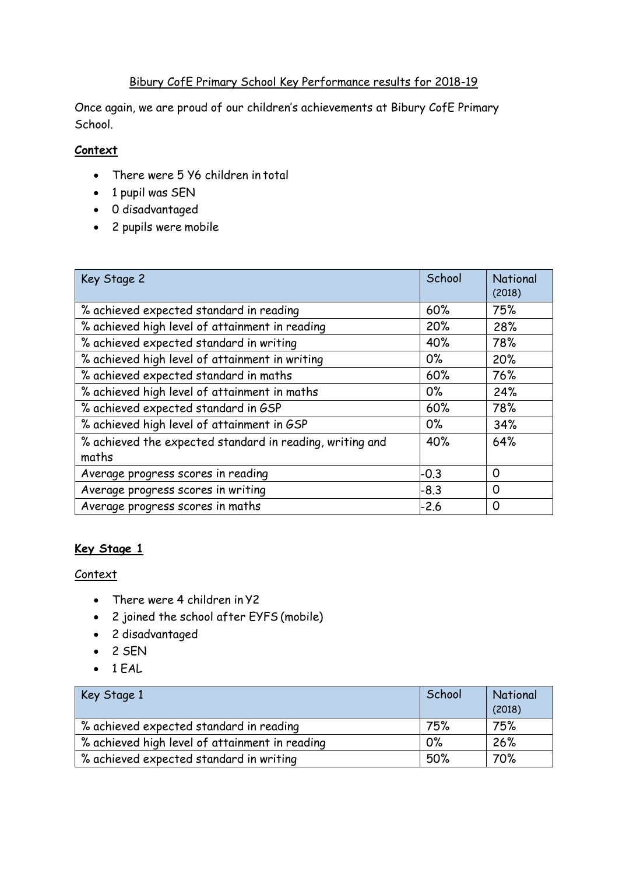## Bibury CofE Primary School Key Performance results for 2018-19

Once again, we are proud of our children's achievements at Bibury CofE Primary School.

## **Context**

- There were 5 Y6 children in total
- 1 pupil was SEN
- 0 disadvantaged
- 2 pupils were mobile

| Key Stage 2                                              | School | <b>National</b><br>(2018) |
|----------------------------------------------------------|--------|---------------------------|
| % achieved expected standard in reading                  | 60%    | 75%                       |
| % achieved high level of attainment in reading           | 20%    | 28%                       |
| % achieved expected standard in writing                  | 40%    | 78%                       |
| % achieved high level of attainment in writing           | $0\%$  | 20%                       |
| % achieved expected standard in maths                    | 60%    | 76%                       |
| % achieved high level of attainment in maths             | $0\%$  | 24%                       |
| % achieved expected standard in GSP                      | 60%    | 78%                       |
| % achieved high level of attainment in GSP               | $0\%$  | 34%                       |
| % achieved the expected standard in reading, writing and | 40%    | 64%                       |
| maths                                                    |        |                           |
| Average progress scores in reading                       | $-0.3$ | $\Omega$                  |
| Average progress scores in writing                       | $-8.3$ | $\Omega$                  |
| Average progress scores in maths                         | $-2.6$ | 0                         |

# **Key Stage 1**

#### **Context**

- There were 4 children in Y2
- 2 joined the school after EYFS (mobile)
- 2 disadvantaged
- $-2$  SEN
- $-1$  EAL

| Key Stage 1                                    | School | National<br>(2018) |
|------------------------------------------------|--------|--------------------|
| % achieved expected standard in reading        | 75%    | 75%                |
| % achieved high level of attainment in reading | $0\%$  | 26%                |
| % achieved expected standard in writing        | 50%    | 70%                |